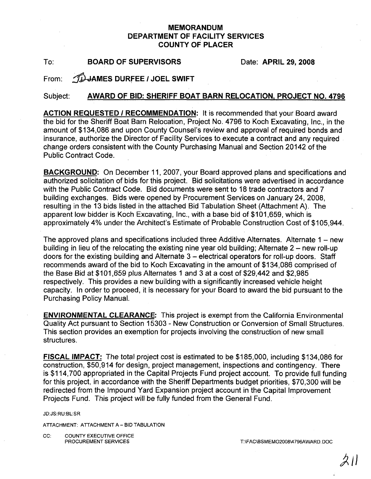## MEMORANDUM DEPARTMENT OF FACILITY SERVICES COUNTY OF PLACER

To: BOARD OF SUPERVISORS Date: APRIL 29, 2008

From: *ID* JAMES DURFEE / JOEL SWIFT

# Subject: AWARD OF BID: SHERIFF BOAT BARN RELOCATION, PROJECT NO. 4796

ACTION REQUESTED / RECOMMENDATION: It is recommended that your Board award the bid for the Sheriff Boat Barn Relocation, Project No. 4796 to Koch Excavating, Inc., in the amount of \$134,086 and upon County Counsel's review and approval of required bonds and insurance, authorize the Director of Facility Services to execute a contract and any required change orders consistent with the County Purchasing Manual and Section 20142 of the Public Contract Code.

**BACKGROUND:** On December 11, 2007, your Board approved plans and specifications and authorized solicitation of bids for this project. Bid solicitations were advertised in accordance with the Public Contract Code. Bid documents were sent to 18 trade contractors and 7 building exchanges. Bids were opened by Procurement Services on January 24, 2008, resulting in the 13 bids listed in the attached Bid Tabulation Sheet (Attachment A). The apparent low bidder is Koch Excavating, Inc., with a base bid of \$101 ,659, which is approximately 4% under the Architect's Estimate of Probable Construction Cost of \$105,944.

The approved plans and specifications included three Additive Alternates. Alternate  $1 - new$ building in lieu of the relocating the existing nine year old building; Alternate  $2 -$  new roll-up doors for the existing building and Alternate 3 – electrical operators for roll-up doors. Staff recommends award of the bid to Koch Excavating in the amount of \$134,086 comprised of the Base Bid at \$101,659 plus Alternates 1 and 3 at a cost of \$29,442 and \$2,985 respectively. This provides a new building with a significantly increased vehicle height capacity. In order to proceed, it is necessary for your Board to award the bid pursuant to the Purchasing Policy Manual.

ENVIRONMENTAL CLEARANCE: This project is exempt from the California Environmental Quality Act pursuant to Section 15303 - New Construction or Conversion of Small Structures. This section provides an exemption for projects involving the construction of new small structures.

FISCAL IMPACT: The total project cost is estimated to be \$185,000, including \$134,086 for construction, \$50,914 for design, project management, inspections and contingency. There is \$114,700 appropriated in the Capital Projects Fund project account. To provide full funding for this project, in accordance with the Sheriff Departments budget priorities, \$70,300 will be redirected from the Impound Yard Expansion project account in the Capital Improvement Projects Fund. This project will be fully funded from the General Fund.

JD:JS:RU:BL:SR

ATTACHMENT: ATTACHMENT A - BID TABULATION

CC: COUNTY EXECUTIVE OFFICE<br>PROCUREMENT SERVICES

T:\FAC\BSMEMO2008\4796AWARD. DOC